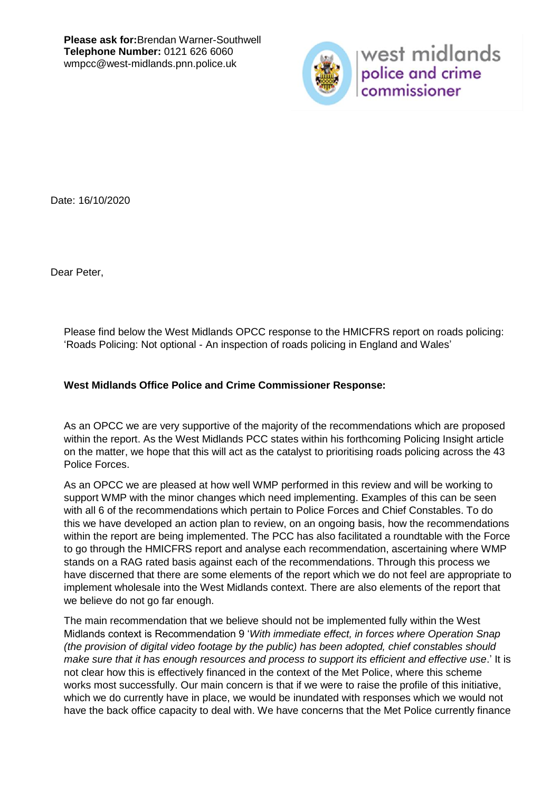

west midlands police and crime commissioner

Date: 16/10/2020

Dear Peter,

Please find below the West Midlands OPCC response to the HMICFRS report on roads policing: 'Roads Policing: Not optional - An inspection of roads policing in England and Wales'

## **West Midlands Office Police and Crime Commissioner Response:**

As an OPCC we are very supportive of the majority of the recommendations which are proposed within the report. As the West Midlands PCC states within his forthcoming Policing Insight article on the matter, we hope that this will act as the catalyst to prioritising roads policing across the 43 Police Forces.

As an OPCC we are pleased at how well WMP performed in this review and will be working to support WMP with the minor changes which need implementing. Examples of this can be seen with all 6 of the recommendations which pertain to Police Forces and Chief Constables. To do this we have developed an action plan to review, on an ongoing basis, how the recommendations within the report are being implemented. The PCC has also facilitated a roundtable with the Force to go through the HMICFRS report and analyse each recommendation, ascertaining where WMP stands on a RAG rated basis against each of the recommendations. Through this process we have discerned that there are some elements of the report which we do not feel are appropriate to implement wholesale into the West Midlands context. There are also elements of the report that we believe do not go far enough.

The main recommendation that we believe should not be implemented fully within the West Midlands context is Recommendation 9 '*With immediate effect, in forces where Operation Snap (the provision of digital video footage by the public) has been adopted, chief constables should make sure that it has enough resources and process to support its efficient and effective use*.' It is not clear how this is effectively financed in the context of the Met Police, where this scheme works most successfully. Our main concern is that if we were to raise the profile of this initiative, which we do currently have in place, we would be inundated with responses which we would not have the back office capacity to deal with. We have concerns that the Met Police currently finance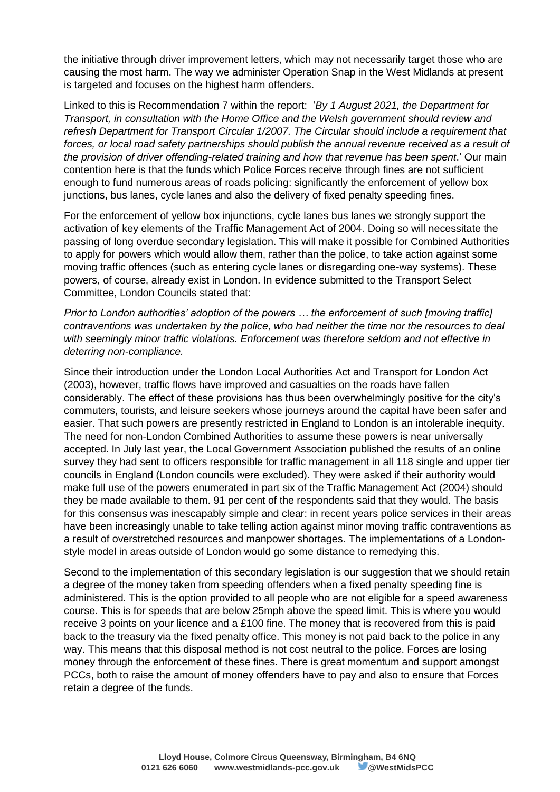the initiative through driver improvement letters, which may not necessarily target those who are causing the most harm. The way we administer Operation Snap in the West Midlands at present is targeted and focuses on the highest harm offenders.

Linked to this is Recommendation 7 within the report: '*By 1 August 2021, the Department for Transport, in consultation with the Home Office and the Welsh government should review and refresh Department for Transport Circular 1/2007. The Circular should include a requirement that forces, or local road safety partnerships should publish the annual revenue received as a result of the provision of driver offending-related training and how that revenue has been spent*.' Our main contention here is that the funds which Police Forces receive through fines are not sufficient enough to fund numerous areas of roads policing: significantly the enforcement of yellow box junctions, bus lanes, cycle lanes and also the delivery of fixed penalty speeding fines.

For the enforcement of yellow box injunctions, cycle lanes bus lanes we strongly support the activation of key elements of the Traffic Management Act of 2004. Doing so will necessitate the passing of long overdue secondary legislation. This will make it possible for Combined Authorities to apply for powers which would allow them, rather than the police, to take action against some moving traffic offences (such as entering cycle lanes or disregarding one-way systems). These powers, of course, already exist in London. In evidence submitted to the Transport Select Committee, London Councils stated that:

*Prior to London authorities' adoption of the powers … the enforcement of such [moving traffic] contraventions was undertaken by the police, who had neither the time nor the resources to deal with seemingly minor traffic violations. Enforcement was therefore seldom and not effective in deterring non-compliance.* 

Since their introduction under the London Local Authorities Act and Transport for London Act (2003), however, traffic flows have improved and casualties on the roads have fallen considerably. The effect of these provisions has thus been overwhelmingly positive for the city's commuters, tourists, and leisure seekers whose journeys around the capital have been safer and easier. That such powers are presently restricted in England to London is an intolerable inequity. The need for non-London Combined Authorities to assume these powers is near universally accepted. In July last year, the Local Government Association published the results of an online survey they had sent to officers responsible for traffic management in all 118 single and upper tier councils in England (London councils were excluded). They were asked if their authority would make full use of the powers enumerated in part six of the Traffic Management Act (2004) should they be made available to them. 91 per cent of the respondents said that they would. The basis for this consensus was inescapably simple and clear: in recent years police services in their areas have been increasingly unable to take telling action against minor moving traffic contraventions as a result of overstretched resources and manpower shortages. The implementations of a Londonstyle model in areas outside of London would go some distance to remedying this.

Second to the implementation of this secondary legislation is our suggestion that we should retain a degree of the money taken from speeding offenders when a fixed penalty speeding fine is administered. This is the option provided to all people who are not eligible for a speed awareness course. This is for speeds that are below 25mph above the speed limit. This is where you would receive 3 points on your licence and a £100 fine. The money that is recovered from this is paid back to the treasury via the fixed penalty office. This money is not paid back to the police in any way. This means that this disposal method is not cost neutral to the police. Forces are losing money through the enforcement of these fines. There is great momentum and support amongst PCCs, both to raise the amount of money offenders have to pay and also to ensure that Forces retain a degree of the funds.